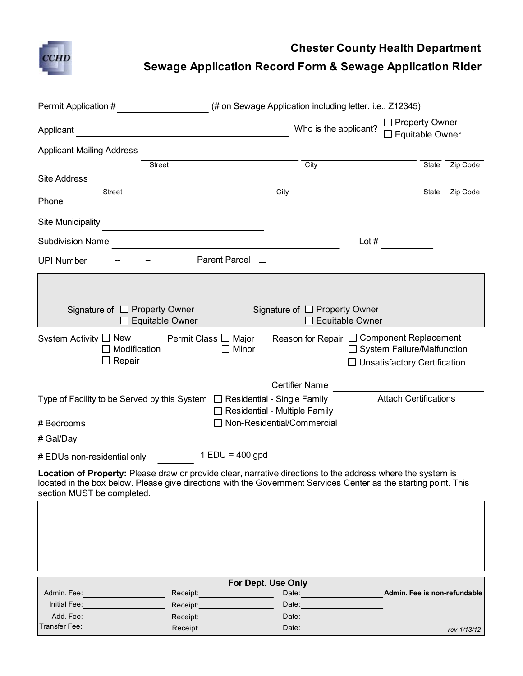

**Chester County Health Department**

**Sewage Application Record Form & Sewage Application Rider**

| Permit Application #                                                                                                                                                                                                                                                 |                                             |                                       | (# on Sewage Application including letter. i.e., Z12345) |                                                                          |                                                 |             |  |
|----------------------------------------------------------------------------------------------------------------------------------------------------------------------------------------------------------------------------------------------------------------------|---------------------------------------------|---------------------------------------|----------------------------------------------------------|--------------------------------------------------------------------------|-------------------------------------------------|-------------|--|
| Applicant                                                                                                                                                                                                                                                            |                                             |                                       | Who is the applicant?                                    |                                                                          | <b>Property Owner</b><br><b>Equitable Owner</b> |             |  |
| <b>Applicant Mailing Address</b>                                                                                                                                                                                                                                     |                                             |                                       |                                                          |                                                                          |                                                 |             |  |
| <b>Site Address</b>                                                                                                                                                                                                                                                  | Street                                      |                                       | City                                                     |                                                                          | State                                           | Zip Code    |  |
| Phone                                                                                                                                                                                                                                                                | Street                                      |                                       | City                                                     |                                                                          | State                                           | Zip Code    |  |
| <b>Site Municipality</b>                                                                                                                                                                                                                                             |                                             |                                       |                                                          |                                                                          |                                                 |             |  |
| <b>Subdivision Name</b>                                                                                                                                                                                                                                              |                                             |                                       |                                                          | Lot $#$                                                                  |                                                 |             |  |
| <b>Parent Parcel</b><br>$\mathbf{1}$<br><b>UPI Number</b>                                                                                                                                                                                                            |                                             |                                       |                                                          |                                                                          |                                                 |             |  |
|                                                                                                                                                                                                                                                                      |                                             |                                       |                                                          |                                                                          |                                                 |             |  |
| Signature of $\Box$ Property Owner<br>Signature of □ Property Owner<br>Equitable Owner<br>Equitable Owner                                                                                                                                                            |                                             |                                       |                                                          |                                                                          |                                                 |             |  |
| System Activity $\Box$ New                                                                                                                                                                                                                                           | Modification<br>Repair                      | Permit Class $\Box$<br>Major<br>Minor | Reason for Repair □ Component Replacement                | $\Box$ System Failure/Malfunction<br>$\Box$ Unsatisfactory Certification |                                                 |             |  |
|                                                                                                                                                                                                                                                                      |                                             |                                       | <b>Certifier Name</b>                                    |                                                                          |                                                 |             |  |
| <b>Attach Certifications</b><br>Type of Facility to be Served by this System $\Box$ Residential - Single Family<br>Residential - Multiple Family                                                                                                                     |                                             |                                       |                                                          |                                                                          |                                                 |             |  |
| # Bedrooms                                                                                                                                                                                                                                                           |                                             |                                       | Non-Residential/Commercial                               |                                                                          |                                                 |             |  |
| # Gal/Day                                                                                                                                                                                                                                                            |                                             |                                       |                                                          |                                                                          |                                                 |             |  |
| $1$ EDU = 400 gpd<br># EDUs non-residential only                                                                                                                                                                                                                     |                                             |                                       |                                                          |                                                                          |                                                 |             |  |
| <b>Location of Property:</b> Please draw or provide clear, narrative directions to the address where the system is<br>located in the box below. Please give directions with the Government Services Center as the starting point. This<br>section MUST be completed. |                                             |                                       |                                                          |                                                                          |                                                 |             |  |
|                                                                                                                                                                                                                                                                      |                                             |                                       |                                                          |                                                                          |                                                 |             |  |
| For Dept. Use Only<br>Admin. Fee is non-refundable                                                                                                                                                                                                                   |                                             |                                       |                                                          |                                                                          |                                                 |             |  |
| Admin. Fee: Admin. Page 1996                                                                                                                                                                                                                                         | Initial Fee: <u>_______________________</u> | Receipt:_______________________       | Date: <u>_______________</u><br>Date:                    |                                                                          |                                                 |             |  |
|                                                                                                                                                                                                                                                                      | Add. Fee: ______________________            | Receipt: _____________________        | Date: <u>Date: Distribution of</u>                       |                                                                          |                                                 |             |  |
| Transfer Fee:                                                                                                                                                                                                                                                        |                                             | Receipt:_____________                 | Date: <u>Date: Alexander State of</u>                    |                                                                          |                                                 | rev 1/13/12 |  |